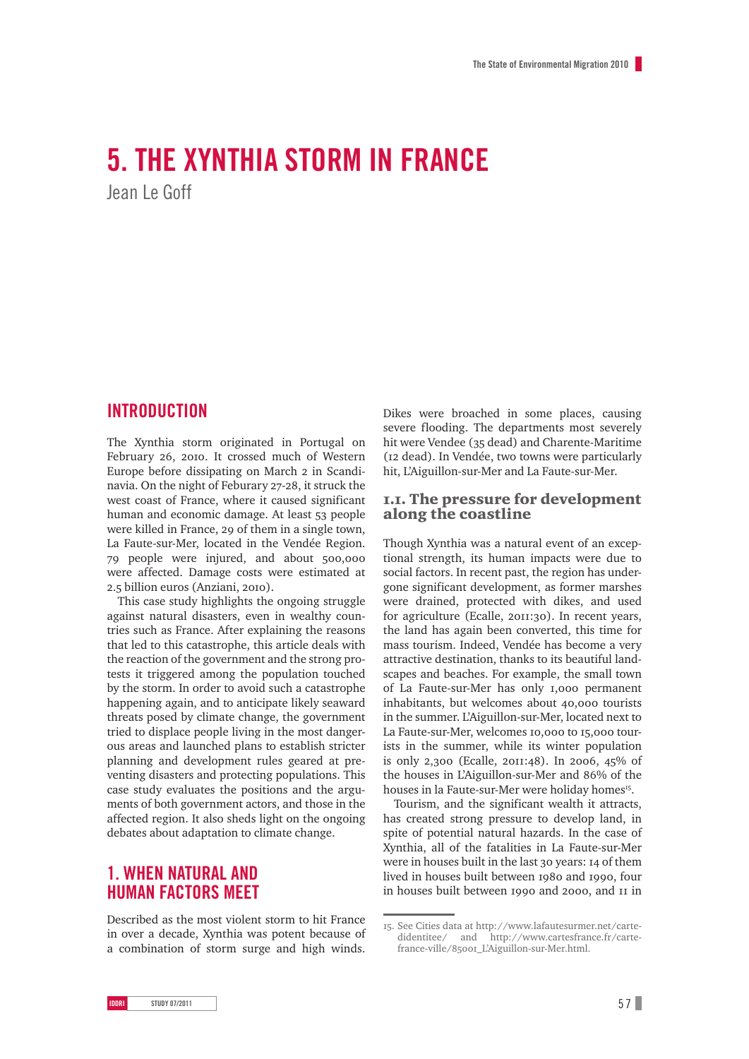# **5. The Xynthia storm in France**  Jean Le Goff

# **INTRODUCTION**

The Xynthia storm originated in Portugal on February 26, 2010. It crossed much of Western Europe before dissipating on March 2 in Scandinavia. On the night of Feburary 27-28, it struck the west coast of France, where it caused significant human and economic damage. At least 53 people were killed in France, 29 of them in a single town, La Faute-sur-Mer, located in the Vendée Region. 79 people were injured, and about 500,000 were affected. Damage costs were estimated at 2.5 billion euros (Anziani, 2010).

This case study highlights the ongoing struggle against natural disasters, even in wealthy countries such as France. After explaining the reasons that led to this catastrophe, this article deals with the reaction of the government and the strong protests it triggered among the population touched by the storm. In order to avoid such a catastrophe happening again, and to anticipate likely seaward threats posed by climate change, the government tried to displace people living in the most dangerous areas and launched plans to establish stricter planning and development rules geared at preventing disasters and protecting populations. This case study evaluates the positions and the arguments of both government actors, and those in the affected region. It also sheds light on the ongoing debates about adaptation to climate change.

### **1. When natural and human factors meet**

Described as the most violent storm to hit France in over a decade, Xynthia was potent because of a combination of storm surge and high winds. Dikes were broached in some places, causing severe flooding. The departments most severely hit were Vendee (35 dead) and Charente-Maritime (12 dead). In Vendée, two towns were particularly hit, L'Aiguillon-sur-Mer and La Faute-sur-Mer.

#### 1.1. The pressure for development along the coastline

Though Xynthia was a natural event of an exceptional strength, its human impacts were due to social factors. In recent past, the region has undergone significant development, as former marshes were drained, protected with dikes, and used for agriculture (Ecalle, 2011:30). In recent years, the land has again been converted, this time for mass tourism. Indeed, Vendée has become a very attractive destination, thanks to its beautiful landscapes and beaches. For example, the small town of La Faute-sur-Mer has only 1,000 permanent inhabitants, but welcomes about 40,000 tourists in the summer. L'Aiguillon-sur-Mer, located next to La Faute-sur-Mer, welcomes 10,000 to 15,000 tourists in the summer, while its winter population is only 2,300 (Ecalle, 2011:48). In 2006, 45% of the houses in L'Aiguillon-sur-Mer and 86% of the houses in la Faute-sur-Mer were holiday homes<sup>15</sup>.

Tourism, and the significant wealth it attracts, has created strong pressure to develop land, in spite of potential natural hazards. In the case of Xynthia, all of the fatalities in La Faute-sur-Mer were in houses built in the last 30 years: 14 of them lived in houses built between 1980 and 1990, four in houses built between 1990 and 2000, and 11 in

<sup>15.</sup> See Cities data at http://www.lafautesurmer.net/cartedidentitee/ and http://www.cartesfrance.fr/cartefrance-ville/85001\_L'Aiguillon-sur-Mer.html.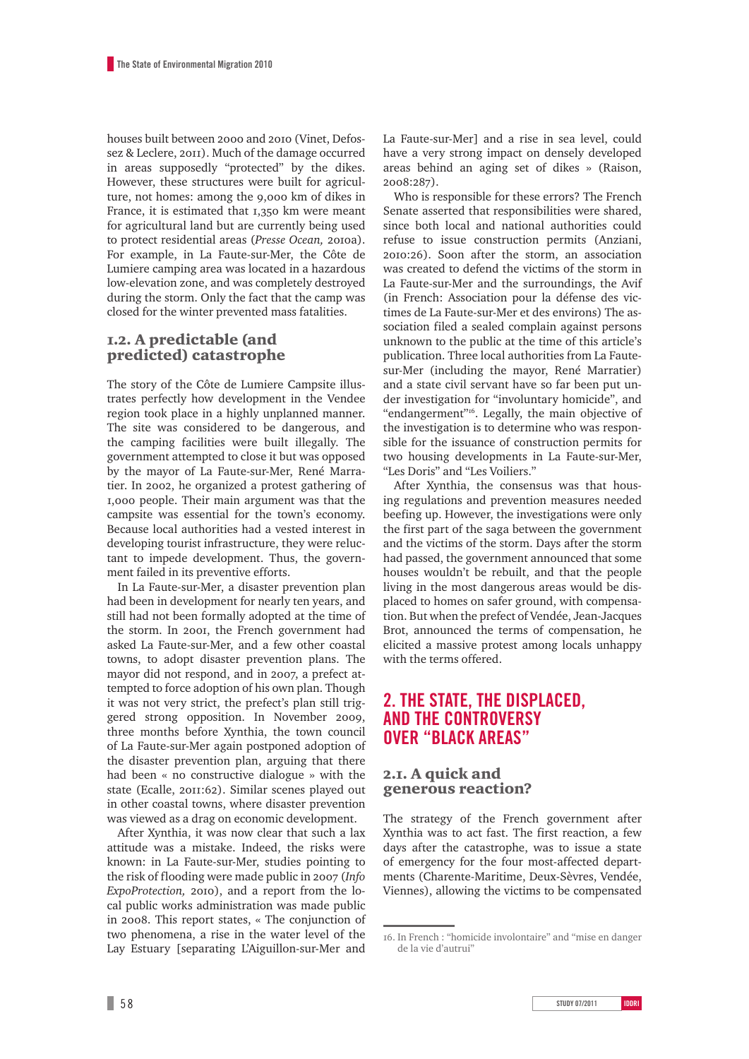houses built between 2000 and 2010 (Vinet, Defossez & Leclere, 2011). Much of the damage occurred in areas supposedly "protected" by the dikes. However, these structures were built for agriculture, not homes: among the 9,000 km of dikes in France, it is estimated that 1,350 km were meant for agricultural land but are currently being used to protect residential areas (*Presse Ocean,* 2010a). For example, in La Faute-sur-Mer, the Côte de Lumiere camping area was located in a hazardous low-elevation zone, and was completely destroyed during the storm. Only the fact that the camp was closed for the winter prevented mass fatalities.

#### 1.2. A predictable (and predicted) catastrophe

The story of the Côte de Lumiere Campsite illustrates perfectly how development in the Vendee region took place in a highly unplanned manner. The site was considered to be dangerous, and the camping facilities were built illegally. The government attempted to close it but was opposed by the mayor of La Faute-sur-Mer, René Marratier. In 2002, he organized a protest gathering of 1,000 people. Their main argument was that the campsite was essential for the town's economy. Because local authorities had a vested interest in developing tourist infrastructure, they were reluctant to impede development. Thus, the government failed in its preventive efforts.

In La Faute-sur-Mer, a disaster prevention plan had been in development for nearly ten years, and still had not been formally adopted at the time of the storm. In 2001, the French government had asked La Faute-sur-Mer, and a few other coastal towns, to adopt disaster prevention plans. The mayor did not respond, and in 2007, a prefect attempted to force adoption of his own plan. Though it was not very strict, the prefect's plan still triggered strong opposition. In November 2009, three months before Xynthia, the town council of La Faute-sur-Mer again postponed adoption of the disaster prevention plan, arguing that there had been « no constructive dialogue » with the state (Ecalle, 2011:62). Similar scenes played out in other coastal towns, where disaster prevention was viewed as a drag on economic development.

After Xynthia, it was now clear that such a lax attitude was a mistake. Indeed, the risks were known: in La Faute-sur-Mer, studies pointing to the risk of flooding were made public in 2007 (*Info ExpoProtection,* 2010), and a report from the local public works administration was made public in 2008. This report states, « The conjunction of two phenomena, a rise in the water level of the Lay Estuary [separating L'Aiguillon-sur-Mer and La Faute-sur-Mer] and a rise in sea level, could have a very strong impact on densely developed areas behind an aging set of dikes » (Raison, 2008:287).

Who is responsible for these errors? The French Senate asserted that responsibilities were shared, since both local and national authorities could refuse to issue construction permits (Anziani, 2010:26). Soon after the storm, an association was created to defend the victims of the storm in La Faute-sur-Mer and the surroundings, the Avif (in French: Association pour la défense des victimes de La Faute-sur-Mer et des environs) The association filed a sealed complain against persons unknown to the public at the time of this article's publication. Three local authorities from La Fautesur-Mer (including the mayor, René Marratier) and a state civil servant have so far been put under investigation for "involuntary homicide", and "endangerment"<sup>16</sup>. Legally, the main objective of the investigation is to determine who was responsible for the issuance of construction permits for two housing developments in La Faute-sur-Mer, "Les Doris" and "Les Voiliers."

After Xynthia, the consensus was that housing regulations and prevention measures needed beefing up. However, the investigations were only the first part of the saga between the government and the victims of the storm. Days after the storm had passed, the government announced that some houses wouldn't be rebuilt, and that the people living in the most dangerous areas would be displaced to homes on safer ground, with compensation. But when the prefect of Vendée, Jean-Jacques Brot, announced the terms of compensation, he elicited a massive protest among locals unhappy with the terms offered.

## **2. The state, the displaced, and the controversy over "black areas"**

2.1. A quick and generous reaction?

The strategy of the French government after Xynthia was to act fast. The first reaction, a few days after the catastrophe, was to issue a state of emergency for the four most-affected departments (Charente-Maritime, Deux-Sèvres, Vendée, Viennes), allowing the victims to be compensated

<sup>16.</sup> In French : "homicide involontaire" and "mise en danger de la vie d'autrui"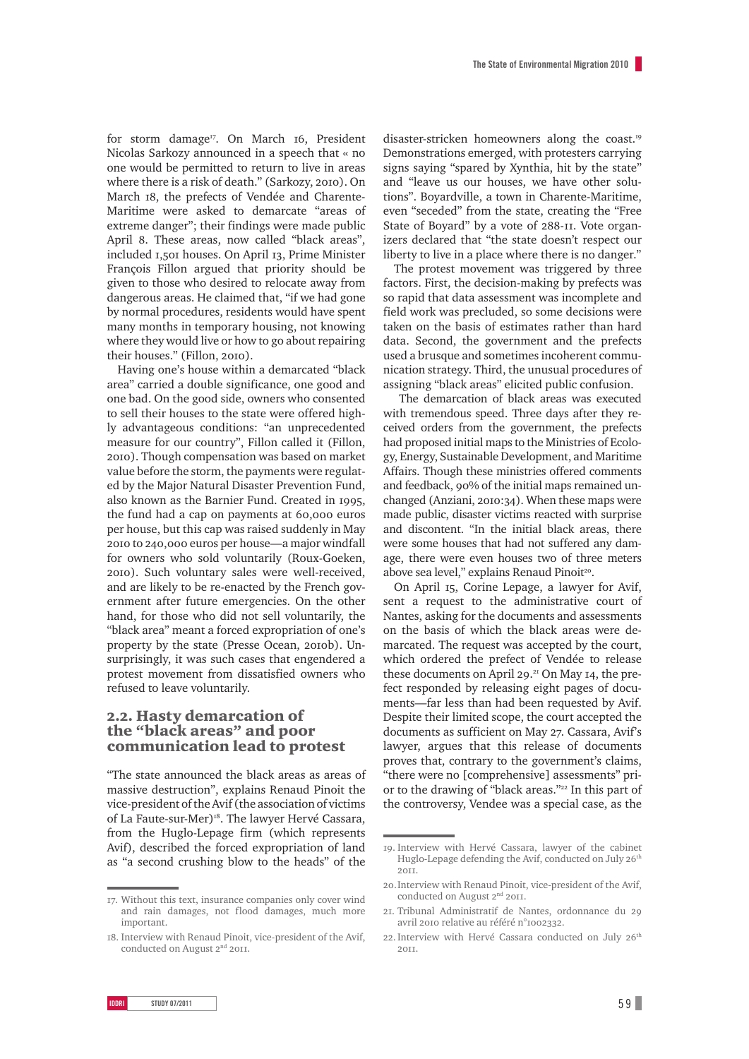for storm damage<sup>17</sup>. On March 16, President Nicolas Sarkozy announced in a speech that « no one would be permitted to return to live in areas where there is a risk of death." (Sarkozy, 2010). On March 18, the prefects of Vendée and Charente-Maritime were asked to demarcate "areas of extreme danger"; their findings were made public April 8. These areas, now called "black areas", included 1,501 houses. On April 13, Prime Minister François Fillon argued that priority should be given to those who desired to relocate away from dangerous areas. He claimed that, "if we had gone by normal procedures, residents would have spent many months in temporary housing, not knowing where they would live or how to go about repairing their houses." (Fillon, 2010).

Having one's house within a demarcated "black area" carried a double significance, one good and one bad. On the good side, owners who consented to sell their houses to the state were offered highly advantageous conditions: "an unprecedented measure for our country", Fillon called it (Fillon, 2010). Though compensation was based on market value before the storm, the payments were regulated by the Major Natural Disaster Prevention Fund, also known as the Barnier Fund. Created in 1995, the fund had a cap on payments at 60,000 euros per house, but this cap was raised suddenly in May 2010 to 240,000 euros per house—a major windfall for owners who sold voluntarily (Roux-Goeken, 2010). Such voluntary sales were well-received, and are likely to be re-enacted by the French government after future emergencies. On the other hand, for those who did not sell voluntarily, the "black area" meant a forced expropriation of one's property by the state (Presse Ocean, 2010b). Unsurprisingly, it was such cases that engendered a protest movement from dissatisfied owners who refused to leave voluntarily.

#### 2.2. Hasty demarcation of the "black areas" and poor communication lead to protest

"The state announced the black areas as areas of massive destruction", explains Renaud Pinoit the vice-president of the Avif (the association of victims of La Faute-sur-Mer)<sup>18</sup>. The lawyer Hervé Cassara, from the Huglo-Lepage firm (which represents Avif), described the forced expropriation of land as "a second crushing blow to the heads" of the disaster-stricken homeowners along the coast.<sup>19</sup> Demonstrations emerged, with protesters carrying signs saying "spared by Xynthia, hit by the state" and "leave us our houses, we have other solutions". Boyardville, a town in Charente-Maritime, even "seceded" from the state, creating the "Free State of Boyard" by a vote of 288-11. Vote organizers declared that "the state doesn't respect our liberty to live in a place where there is no danger."

The protest movement was triggered by three factors. First, the decision-making by prefects was so rapid that data assessment was incomplete and field work was precluded, so some decisions were taken on the basis of estimates rather than hard data. Second, the government and the prefects used a brusque and sometimes incoherent communication strategy. Third, the unusual procedures of assigning "black areas" elicited public confusion.

 The demarcation of black areas was executed with tremendous speed. Three days after they received orders from the government, the prefects had proposed initial maps to the Ministries of Ecology, Energy, Sustainable Development, and Maritime Affairs. Though these ministries offered comments and feedback, 90% of the initial maps remained unchanged (Anziani, 2010:34). When these maps were made public, disaster victims reacted with surprise and discontent. "In the initial black areas, there were some houses that had not suffered any damage, there were even houses two of three meters above sea level," explains Renaud Pinoit<sup>20</sup>.

On April 15, Corine Lepage, a lawyer for Avif, sent a request to the administrative court of Nantes, asking for the documents and assessments on the basis of which the black areas were demarcated. The request was accepted by the court, which ordered the prefect of Vendée to release these documents on April 29. $21$  On May 14, the prefect responded by releasing eight pages of documents—far less than had been requested by Avif. Despite their limited scope, the court accepted the documents as sufficient on May 27. Cassara, Avif's lawyer, argues that this release of documents proves that, contrary to the government's claims, "there were no [comprehensive] assessments" prior to the drawing of "black areas."<sup>22</sup> In this part of the controversy, Vendee was a special case, as the

<sup>17.</sup> Without this text, insurance companies only cover wind and rain damages, not flood damages, much more important.

<sup>18.</sup> Interview with Renaud Pinoit, vice-president of the Avif, conducted on August 2nd 2011.

<sup>19.</sup> Interview with Hervé Cassara, lawyer of the cabinet Huglo-Lepage defending the Avif, conducted on July 26<sup>th</sup> 2011.

<sup>20.</sup>Interview with Renaud Pinoit, vice-president of the Avif, conducted on August 2<sup>nd</sup> 2011.

<sup>21.</sup> Tribunal Administratif de Nantes, ordonnance du 29 avril 2010 relative au référé n°1002332.

<sup>22.</sup> Interview with Hervé Cassara conducted on July 26<sup>th</sup> 2011.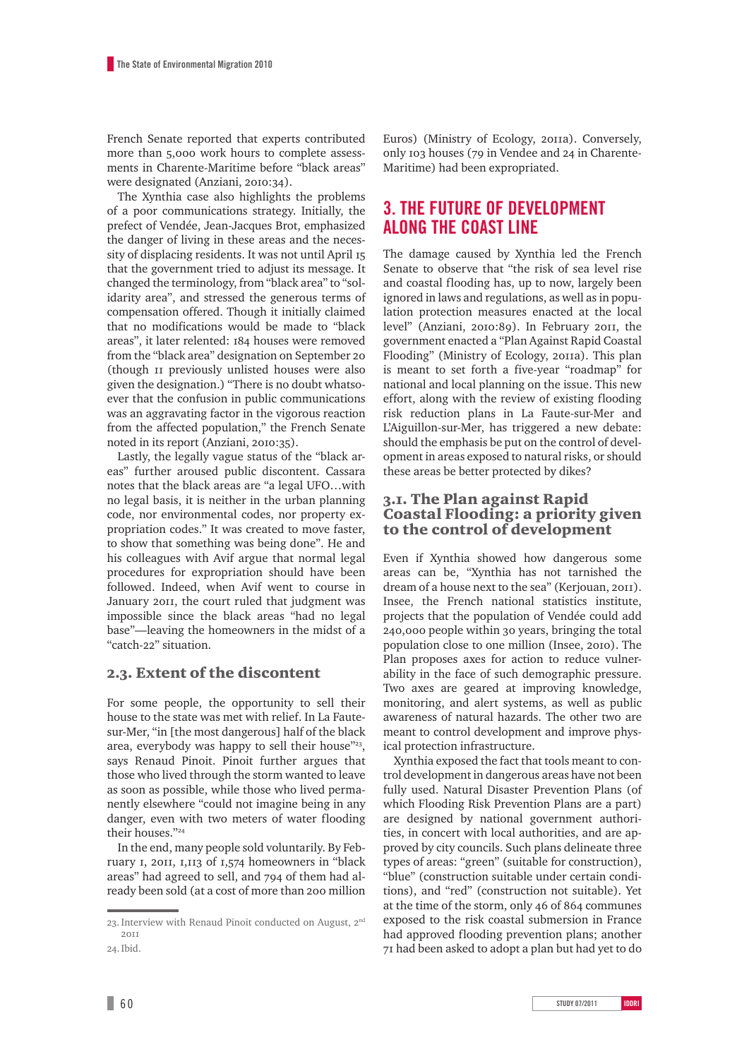French Senate reported that experts contributed more than 5,000 work hours to complete assessments in Charente-Maritime before "black areas" were designated (Anziani, 2010:34).

The Xynthia case also highlights the problems of a poor communications strategy. Initially, the prefect of Vendée, Jean-Jacques Brot, emphasized the danger of living in these areas and the necessity of displacing residents. It was not until April 15 that the government tried to adjust its message. It changed the terminology, from "black area" to "solidarity area", and stressed the generous terms of compensation offered. Though it initially claimed that no modifications would be made to "black areas", it later relented: 184 houses were removed from the "black area" designation on September 20 (though 11 previously unlisted houses were also given the designation.) "There is no doubt whatsoever that the confusion in public communications was an aggravating factor in the vigorous reaction from the affected population," the French Senate noted in its report (Anziani, 2010:35).

Lastly, the legally vague status of the "black areas" further aroused public discontent. Cassara notes that the black areas are "a legal UFO…with no legal basis, it is neither in the urban planning code, nor environmental codes, nor property expropriation codes." It was created to move faster, to show that something was being done". He and his colleagues with Avif argue that normal legal procedures for expropriation should have been followed. Indeed, when Avif went to course in January 2011, the court ruled that judgment was impossible since the black areas "had no legal base"—leaving the homeowners in the midst of a "catch-22" situation.

#### 2.3. Extent of the discontent

For some people, the opportunity to sell their house to the state was met with relief. In La Fautesur-Mer, "in [the most dangerous] half of the black area, everybody was happy to sell their house"<sup>23</sup>, says Renaud Pinoit. Pinoit further argues that those who lived through the storm wanted to leave as soon as possible, while those who lived permanently elsewhere "could not imagine being in any danger, even with two meters of water flooding their houses."24

In the end, many people sold voluntarily. By February 1, 2011, 1,113 of 1,574 homeowners in "black areas" had agreed to sell, and 794 of them had already been sold (at a cost of more than 200 million Euros) (Ministry of Ecology, 2011a). Conversely, only 103 houses (79 in Vendee and 24 in Charente-Maritime) had been expropriated.

# **3. The future of development along the coast line**

The damage caused by Xynthia led the French Senate to observe that "the risk of sea level rise and coastal flooding has, up to now, largely been ignored in laws and regulations, as well as in population protection measures enacted at the local level" (Anziani, 2010:89). In February 2011, the government enacted a "Plan Against Rapid Coastal Flooding" (Ministry of Ecology, 2011a). This plan is meant to set forth a five-year "roadmap" for national and local planning on the issue. This new effort, along with the review of existing flooding risk reduction plans in La Faute-sur-Mer and L'Aiguillon-sur-Mer, has triggered a new debate: should the emphasis be put on the control of development in areas exposed to natural risks, or should these areas be better protected by dikes?

#### 3.1. The Plan against Rapid Coastal Flooding: a priority given to the control of development

Even if Xynthia showed how dangerous some areas can be, "Xynthia has not tarnished the dream of a house next to the sea" (Kerjouan, 2011). Insee, the French national statistics institute, projects that the population of Vendée could add 240,000 people within 30 years, bringing the total population close to one million (Insee, 2010). The Plan proposes axes for action to reduce vulnerability in the face of such demographic pressure. Two axes are geared at improving knowledge, monitoring, and alert systems, as well as public awareness of natural hazards. The other two are meant to control development and improve physical protection infrastructure.

Xynthia exposed the fact that tools meant to control development in dangerous areas have not been fully used. Natural Disaster Prevention Plans (of which Flooding Risk Prevention Plans are a part) are designed by national government authorities, in concert with local authorities, and are approved by city councils. Such plans delineate three types of areas: "green" (suitable for construction), "blue" (construction suitable under certain conditions), and "red" (construction not suitable). Yet at the time of the storm, only 46 of 864 communes exposed to the risk coastal submersion in France had approved flooding prevention plans; another 71 had been asked to adopt a plan but had yet to do

<sup>23.</sup> Interview with Renaud Pinoit conducted on August, 2<sup>nd</sup> 2011

<sup>24.</sup>Ibid.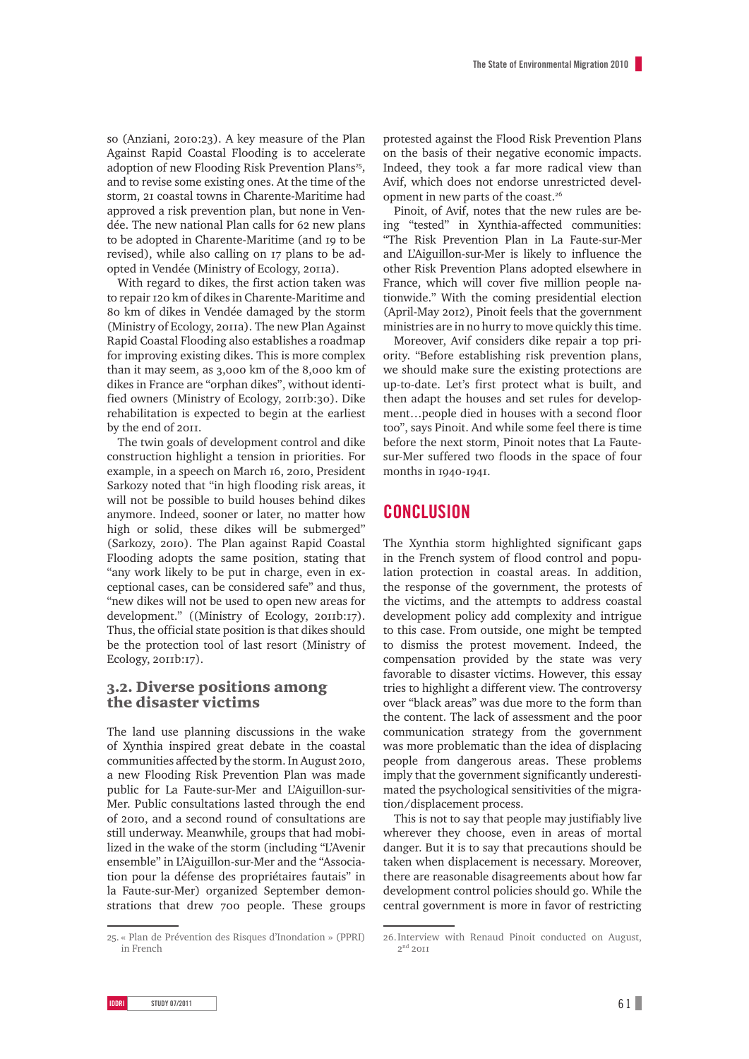so (Anziani, 2010:23). A key measure of the Plan Against Rapid Coastal Flooding is to accelerate adoption of new Flooding Risk Prevention Plans<sup>25</sup>, and to revise some existing ones. At the time of the storm, 21 coastal towns in Charente-Maritime had approved a risk prevention plan, but none in Vendée. The new national Plan calls for 62 new plans to be adopted in Charente-Maritime (and 19 to be revised), while also calling on 17 plans to be adopted in Vendée (Ministry of Ecology, 2011a).

With regard to dikes, the first action taken was to repair 120 km of dikes in Charente-Maritime and 80 km of dikes in Vendée damaged by the storm (Ministry of Ecology, 2011a). The new Plan Against Rapid Coastal Flooding also establishes a roadmap for improving existing dikes. This is more complex than it may seem, as 3,000 km of the 8,000 km of dikes in France are "orphan dikes", without identified owners (Ministry of Ecology, 2011b:30). Dike rehabilitation is expected to begin at the earliest by the end of 2011.

The twin goals of development control and dike construction highlight a tension in priorities. For example, in a speech on March 16, 2010, President Sarkozy noted that "in high flooding risk areas, it will not be possible to build houses behind dikes anymore. Indeed, sooner or later, no matter how high or solid, these dikes will be submerged" (Sarkozy, 2010). The Plan against Rapid Coastal Flooding adopts the same position, stating that "any work likely to be put in charge, even in exceptional cases, can be considered safe" and thus, "new dikes will not be used to open new areas for development." ((Ministry of Ecology, 2011b:17). Thus, the official state position is that dikes should be the protection tool of last resort (Ministry of Ecology, 2011b:17).

#### 3.2. Diverse positions among the disaster victims

The land use planning discussions in the wake of Xynthia inspired great debate in the coastal communities affected by the storm. In August 2010, a new Flooding Risk Prevention Plan was made public for La Faute-sur-Mer and L'Aiguillon-sur-Mer. Public consultations lasted through the end of 2010, and a second round of consultations are still underway. Meanwhile, groups that had mobilized in the wake of the storm (including "L'Avenir ensemble" in L'Aiguillon-sur-Mer and the "Association pour la défense des propriétaires fautais" in la Faute-sur-Mer) organized September demonstrations that drew 700 people. These groups protested against the Flood Risk Prevention Plans on the basis of their negative economic impacts. Indeed, they took a far more radical view than Avif, which does not endorse unrestricted development in new parts of the coast.26

Pinoit, of Avif, notes that the new rules are being "tested" in Xynthia-affected communities: "The Risk Prevention Plan in La Faute-sur-Mer and L'Aiguillon-sur-Mer is likely to influence the other Risk Prevention Plans adopted elsewhere in France, which will cover five million people nationwide." With the coming presidential election (April-May 2012), Pinoit feels that the government ministries are in no hurry to move quickly this time.

Moreover, Avif considers dike repair a top priority. "Before establishing risk prevention plans, we should make sure the existing protections are up-to-date. Let's first protect what is built, and then adapt the houses and set rules for development…people died in houses with a second floor too", says Pinoit. And while some feel there is time before the next storm, Pinoit notes that La Fautesur-Mer suffered two floods in the space of four months in 1940-1941.

### **Conclusion**

The Xynthia storm highlighted significant gaps in the French system of flood control and population protection in coastal areas. In addition, the response of the government, the protests of the victims, and the attempts to address coastal development policy add complexity and intrigue to this case. From outside, one might be tempted to dismiss the protest movement. Indeed, the compensation provided by the state was very favorable to disaster victims. However, this essay tries to highlight a different view. The controversy over "black areas" was due more to the form than the content. The lack of assessment and the poor communication strategy from the government was more problematic than the idea of displacing people from dangerous areas. These problems imply that the government significantly underestimated the psychological sensitivities of the migration/displacement process.

This is not to say that people may justifiably live wherever they choose, even in areas of mortal danger. But it is to say that precautions should be taken when displacement is necessary. Moreover, there are reasonable disagreements about how far development control policies should go. While the central government is more in favor of restricting

<sup>25.</sup> « Plan de Prévention des Risques d'Inondation » (PPRI) in French

<sup>26.</sup>Interview with Renaud Pinoit conducted on August,  $2<sup>nd</sup>$  2011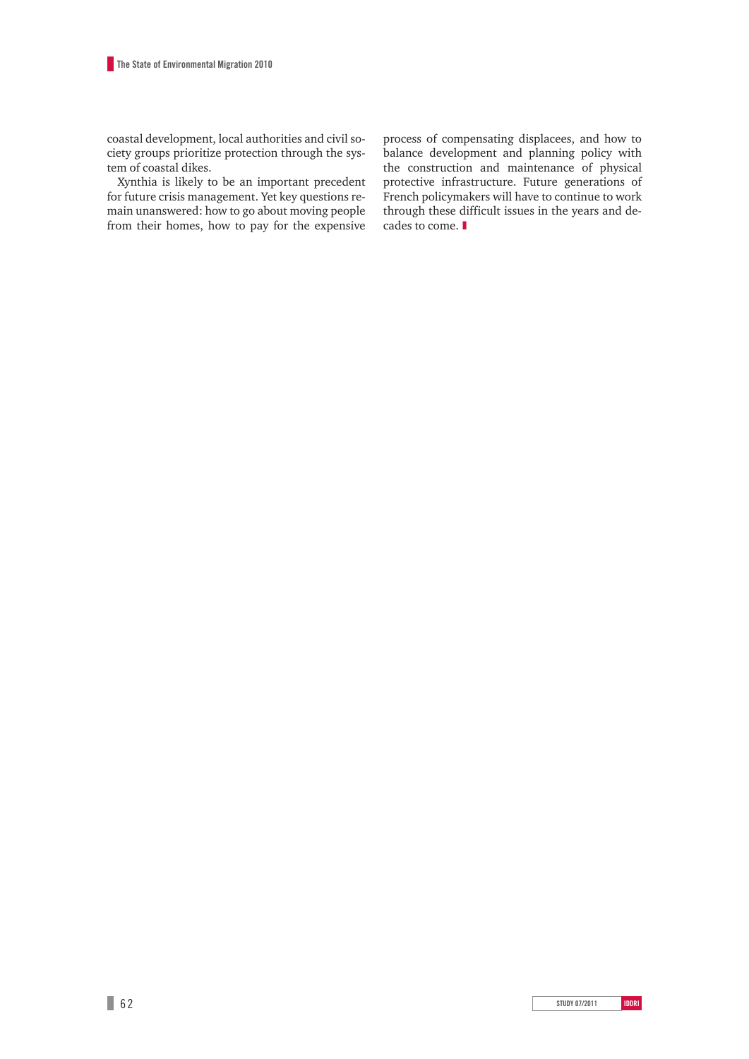coastal development, local authorities and civil society groups prioritize protection through the system of coastal dikes.

Xynthia is likely to be an important precedent for future crisis management. Yet key questions remain unanswered: how to go about moving people from their homes, how to pay for the expensive process of compensating displacees, and how to balance development and planning policy with the construction and maintenance of physical protective infrastructure. Future generations of French policymakers will have to continue to work through these difficult issues in the years and decades to come. ❚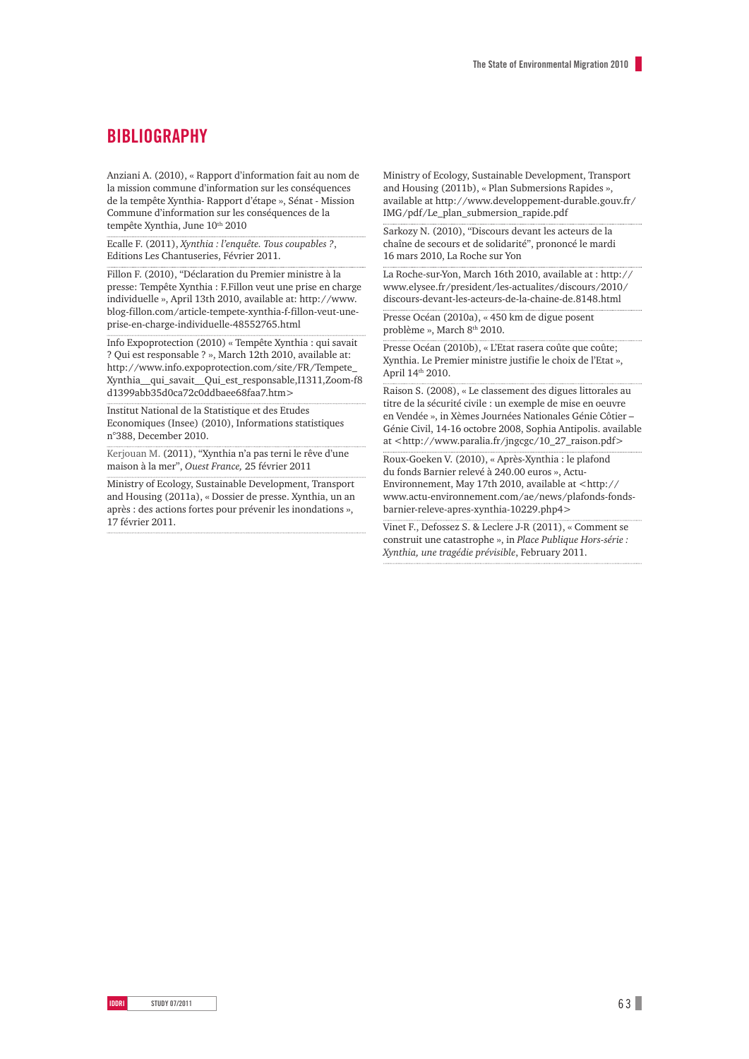### **BIBLIOGRAPHY**

Anziani A. (2010), « Rapport d'information fait au nom de la mission commune d'information sur les conséquences de la tempête Xynthia- Rapport d'étape », Sénat - Mission Commune d'information sur les conséquences de la tempête Xynthia, June 10th 2010

Ecalle F. (2011), *Xynthia : l'enquête. Tous coupables ?*, Editions Les Chantuseries, Février 2011.

Fillon F. (2010), "Déclaration du Premier ministre à la presse: Tempête Xynthia : F.Fillon veut une prise en charge individuelle », April 13th 2010, available at: http://www. blog-fillon.com/article-tempete-xynthia-f-fillon-veut-uneprise-en-charge-individuelle-48552765.html

Info Expoprotection (2010) « Tempête Xynthia : qui savait ? Qui est responsable ? », March 12th 2010, available at: http://www.info.expoprotection.com/site/FR/Tempete\_ Xynthia\_\_qui\_savait\_\_Qui\_est\_responsable,I1311,Zoom-f8 d1399abb35d0ca72c0ddbaee68faa7.htm>

Institut National de la Statistique et des Etudes Economiques (Insee) (2010), Informations statistiques n°388, December 2010.

Kerjouan M. (2011), "Xynthia n'a pas terni le rêve d'une maison à la mer", *Ouest France,* 25 février 2011

Ministry of Ecology, Sustainable Development, Transport and Housing (2011a), « Dossier de presse. Xynthia, un an après : des actions fortes pour prévenir les inondations », 17 février 2011.

Ministry of Ecology, Sustainable Development, Transport and Housing (2011b), « Plan Submersions Rapides », available at http://www.developpement-durable.gouv.fr/ IMG/pdf/Le\_plan\_submersion\_rapide.pdf

Sarkozy N. (2010), "Discours devant les acteurs de la chaîne de secours et de solidarité", prononcé le mardi 16 mars 2010, La Roche sur Yon

La Roche-sur-Yon, March 16th 2010, available at : http:// www.elysee.fr/president/les-actualites/discours/2010/ discours-devant-les-acteurs-de-la-chaine-de.8148.html

Presse Océan (2010a), « 450 km de digue posent problème », March 8<sup>th</sup> 2010.

Presse Océan (2010b), « L'Etat rasera coûte que coûte; Xynthia. Le Premier ministre justifie le choix de l'Etat », April 14th 2010.

Raison S. (2008), « Le classement des digues littorales au titre de la sécurité civile : un exemple de mise en oeuvre en Vendée », in Xèmes Journées Nationales Génie Côtier – Génie Civil, 14-16 octobre 2008, Sophia Antipolis. available at <http://www.paralia.fr/jngcgc/10\_27\_raison.pdf>

Roux-Goeken V. (2010), « Après-Xynthia : le plafond du fonds Barnier relevé à 240.00 euros », Actu-Environnement, May 17th 2010, available at <http:// www.actu-environnement.com/ae/news/plafonds-fondsbarnier-releve-apres-xynthia-10229.php4>

Vinet F., Defossez S. & Leclere J-R (2011), « Comment se construit une catastrophe », in *Place Publique Hors-série : Xynthia, une tragédie prévisible*, February 2011.